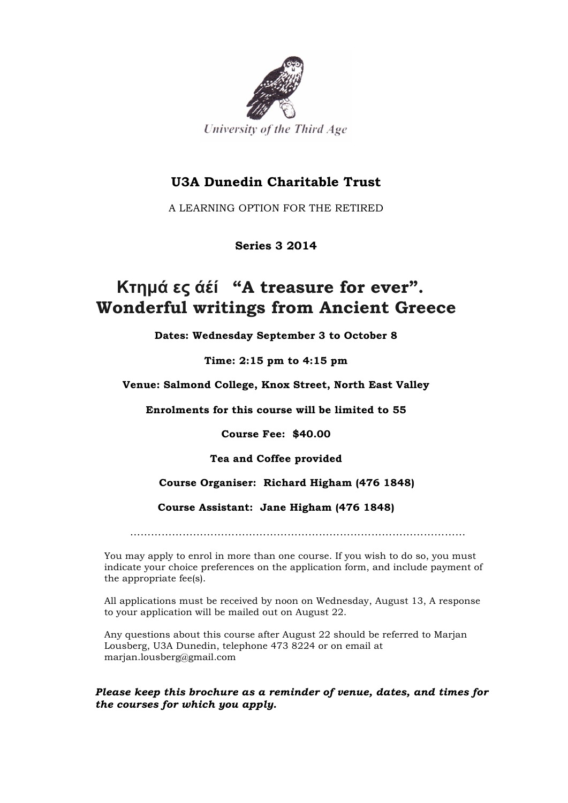

### **U3A Dunedin Charitable Trust**

A LEARNING OPTION FOR THE RETIRED

### **Series 3 2014**

# **Κτηµά ες άέί "A treasure for ever". Wonderful writings from Ancient Greece**

**Dates: Wednesday September 3 to October 8**

**Time: 2:15 pm to 4:15 pm**

**Venue: Salmond College, Knox Street, North East Valley**

**Enrolments for this course will be limited to 55**

**Course Fee: \$40.00**

**Tea and Coffee provided**

#### **Course Organiser: Richard Higham (476 1848)**

#### **Course Assistant: Jane Higham (476 1848)**

……………………………………………………………………………………

You may apply to enrol in more than one course. If you wish to do so, you must indicate your choice preferences on the application form, and include payment of the appropriate fee(s).

All applications must be received by noon on Wednesday, August 13, A response to your application will be mailed out on August 22.

Any questions about this course after August 22 should be referred to Marjan Lousberg, U3A Dunedin, telephone 473 8224 or on email at marjan.lousberg@gmail.com

#### *Please keep this brochure as a reminder of venue, dates, and times for the courses for which you apply.*